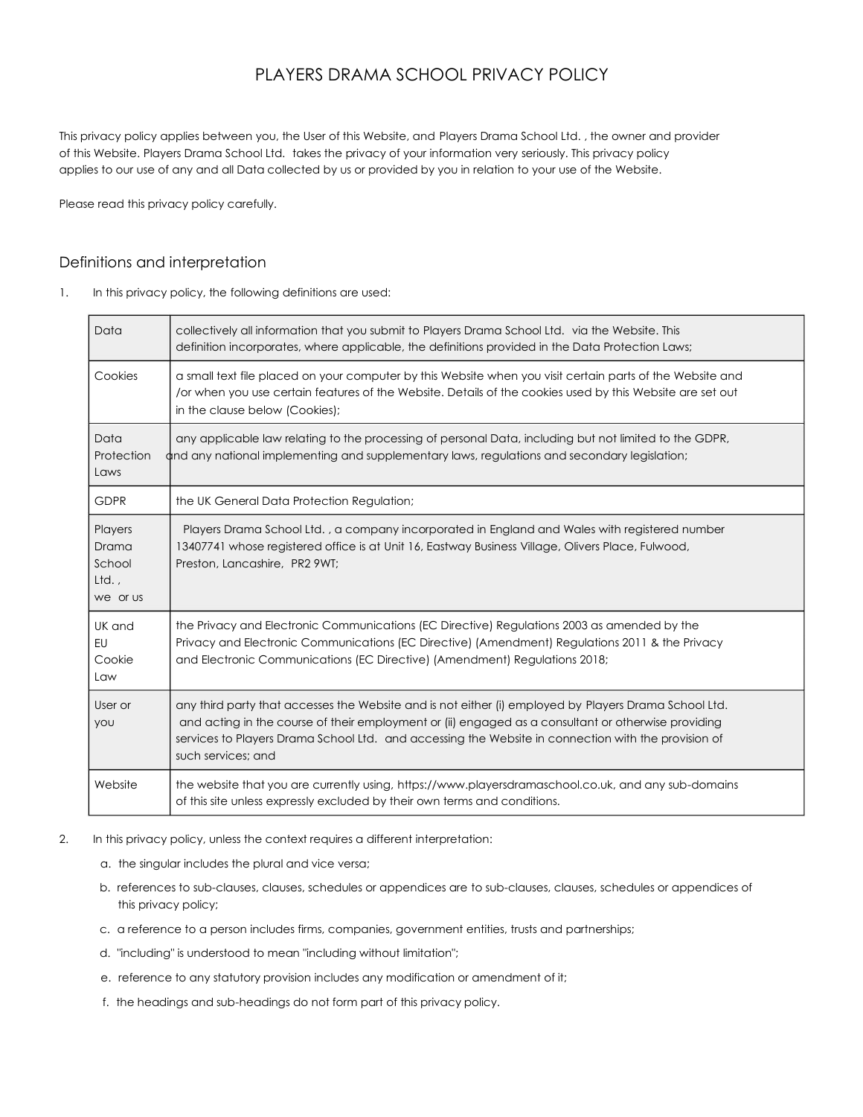# PLAYERS DRAMA SCHOOL PRIVACY POLICY

This privacy policy applies between you, the User of this Website, and Players Drama School Ltd. , the owner and provider of this Website. Players Drama School Ltd. takes the privacy of your information very seriously. This privacy policy applies to our use of any and all Data collected by us or provided by you in relation to your use of the Website.

Please read this privacy policy carefully.

# Definitions and interpretation

1. In this privacy policy, the following definitions are used:

| Data                                           | collectively all information that you submit to Players Drama School Ltd. via the Website. This<br>definition incorporates, where applicable, the definitions provided in the Data Protection Laws;                                                                                                                                       |
|------------------------------------------------|-------------------------------------------------------------------------------------------------------------------------------------------------------------------------------------------------------------------------------------------------------------------------------------------------------------------------------------------|
| Cookies                                        | a small text file placed on your computer by this Website when you visit certain parts of the Website and<br>/or when you use certain features of the Website. Details of the cookies used by this Website are set out<br>in the clause below (Cookies);                                                                                  |
| Data<br>Protection<br>Laws                     | any applicable law relating to the processing of personal Data, including but not limited to the GDPR,<br>and any national implementing and supplementary laws, regulations and secondary legislation;                                                                                                                                    |
| <b>GDPR</b>                                    | the UK General Data Protection Regulation;                                                                                                                                                                                                                                                                                                |
| Players<br>Drama<br>School<br>Ltd.<br>we or us | Players Drama School Ltd., a company incorporated in England and Wales with registered number<br>13407741 whose registered office is at Unit 16, Eastway Business Village, Olivers Place, Fulwood,<br>Preston, Lancashire, PR2 9WT;                                                                                                       |
| UK and<br>EU<br>Cookie<br>Law                  | the Privacy and Electronic Communications (EC Directive) Regulations 2003 as amended by the<br>Privacy and Electronic Communications (EC Directive) (Amendment) Regulations 2011 & the Privacy<br>and Electronic Communications (EC Directive) (Amendment) Regulations 2018;                                                              |
| User or<br>you                                 | any third party that accesses the Website and is not either (i) employed by Players Drama School Ltd.<br>and acting in the course of their employment or (ii) engaged as a consultant or otherwise providing<br>services to Players Drama School Ltd. and accessing the Website in connection with the provision of<br>such services; and |
| Website                                        | the website that you are currently using, https://www.playersdramaschool.co.uk, and any sub-domains<br>of this site unless expressly excluded by their own terms and conditions.                                                                                                                                                          |

- 2. In this privacy policy, unless the context requires a different interpretation:
	- a. the singular includes the plural and vice versa;
	- b. references to sub-clauses, clauses, schedules or appendices are to sub-clauses, clauses, schedules or appendices of this privacy policy;
	- c. a reference to a person includes firms, companies, government entities, trusts and partnerships;
	- d. "including" is understood to mean "including without limitation";
	- e. reference to any statutory provision includes any modification or amendment of it;
	- f. the headings and sub-headings do not form part of this privacy policy.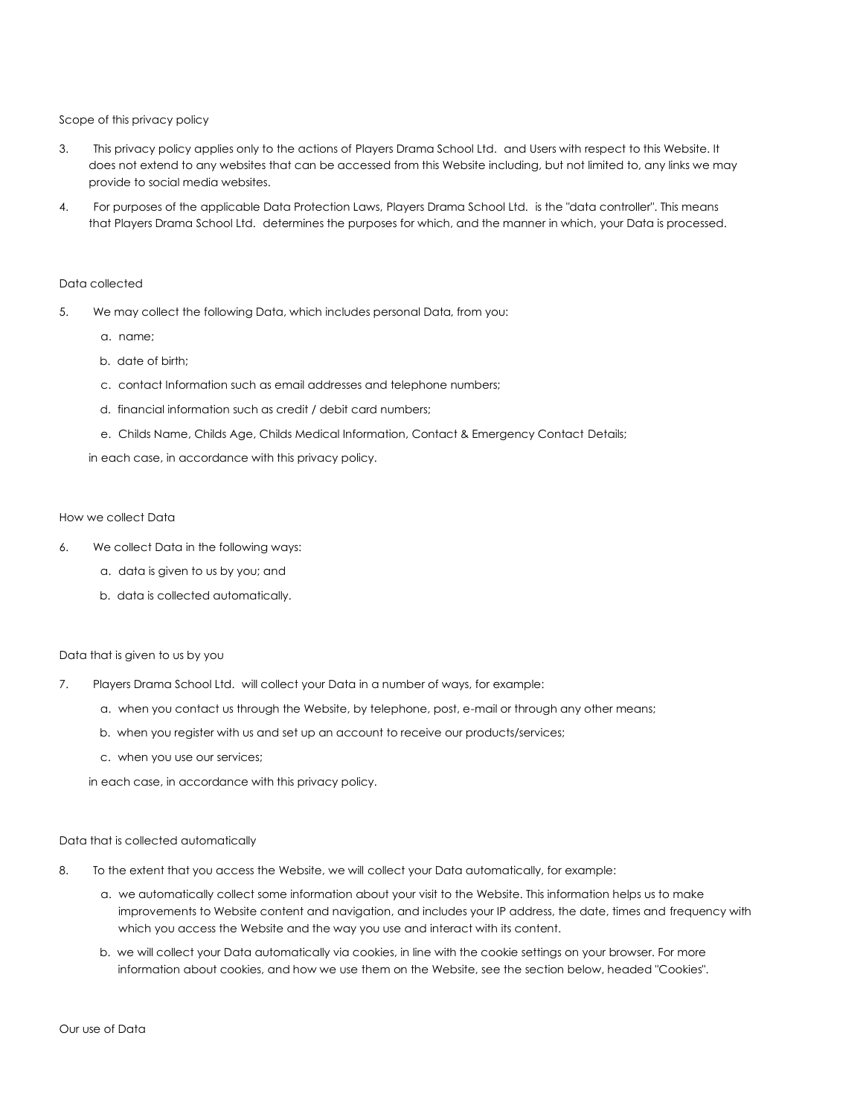Scope of this privacy policy

- 3. This privacy policy applies only to the actions of Players Drama School Ltd. and Users with respect to this Website. It does not extend to any websites that can be accessed from this Website including, but not limited to, any links we may provide to social media websites.
- 4. For purposes of the applicable Data Protection Laws, Players Drama School Ltd. is the "data controller". This means that Players Drama School Ltd. determines the purposes for which, and the manner in which, your Data is processed.

#### Data collected

- 5. We may collect the following Data, which includes personal Data, from you:
	- a. name;
	- b. date of birth;
	- c. contact Information such as email addresses and telephone numbers;
	- d. financial information such as credit / debit card numbers;
	- e. Childs Name, Childs Age, Childs Medical Information, Contact & Emergency Contact Details;

in each case, in accordance with this privacy policy.

#### How we collect Data

- 6. We collect Data in the following ways:
	- a. data is given to us by you; and
	- b. data is collected automatically.

#### Data that is given to us by you

- 7. Players Drama School Ltd. will collect your Data in a number of ways, for example:
	- a. when you contact us through the Website, by telephone, post, e-mail or through any other means;
	- b. when you register with us and set up an account to receive our products/services;
	- c. when you use our services;

in each case, in accordance with this privacy policy.

#### Data that is collected automatically

- 8. To the extent that you access the Website, we will collect your Data automatically, for example:
	- a. we automatically collect some information about your visit to the Website. This information helps us to make improvements to Website content and navigation, and includes your IP address, the date, times and frequency with which you access the Website and the way you use and interact with its content.
	- b. we will collect your Data automatically via cookies, in line with the cookie settings on your browser. For more information about cookies, and how we use them on the Website, see the section below, headed "Cookies".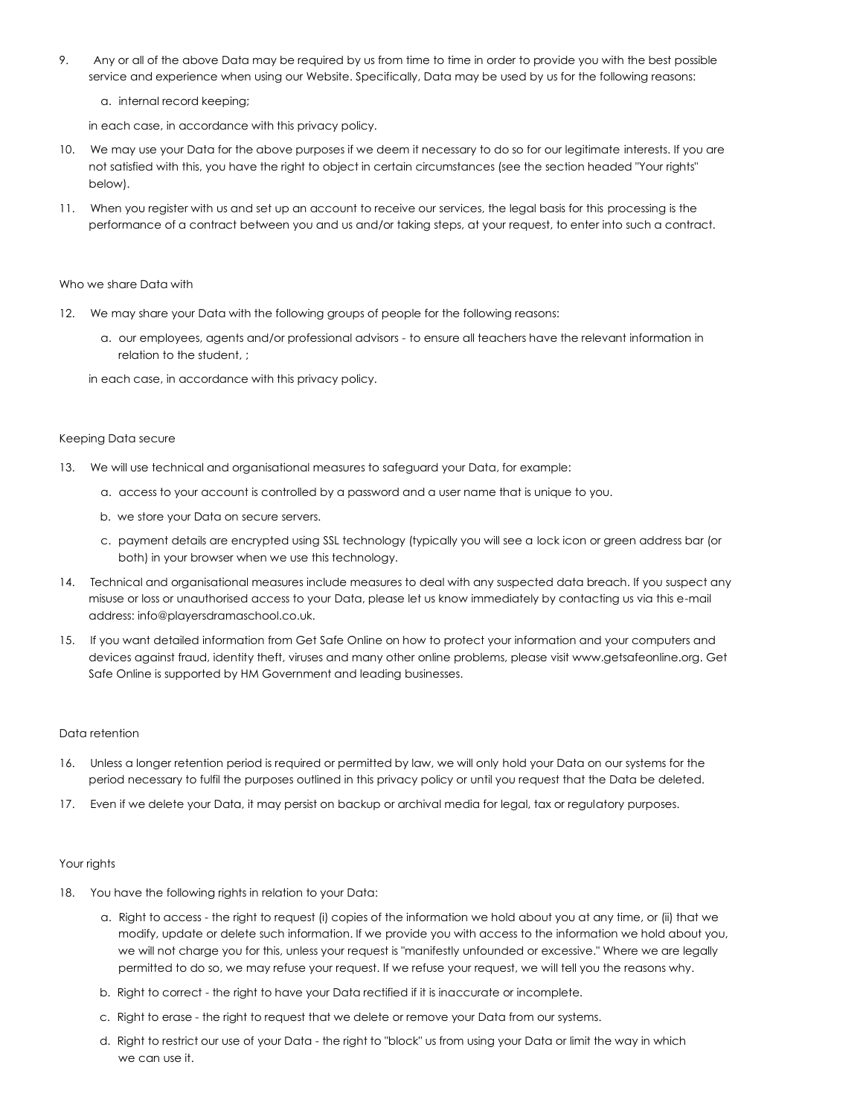- 9. Any or all of the above Data may be required by us from time to time in order to provide you with the best possible service and experience when using our Website. Specifically, Data may be used by us for the following reasons:
	- a. internal record keeping;

in each case, in accordance with this privacy policy.

- 10. We may use your Data for the above purposes if we deem it necessary to do so for our legitimate interests. If you are not satisfied with this, you have the right to object in certain circumstances (see the section headed "Your rights" below).
- 11. When you register with us and set up an account to receive our services, the legal basis for this processing is the performance of a contract between you and us and/or taking steps, at your request, to enter into such a contract.

#### Who we share Data with

- 12. We may share your Data with the following groups of people for the following reasons:
	- a. our employees, agents and/or professional advisors to ensure all teachers have the relevant information in relation to the student, ;

in each case, in accordance with this privacy policy.

### Keeping Data secure

- 13. We will use technical and organisational measures to safeguard your Data, for example:
	- a. access to your account is controlled by a password and a user name that is unique to you.
	- b. we store your Data on secure servers.
	- c. payment details are encrypted using SSL technology (typically you will see a lock icon or green address bar (or both) in your browser when we use this technology.
- 14. Technical and organisational measures include measures to deal with any suspected data breach. If you suspect any misuse or loss or unauthorised access to your Data, please let us know immediately by contacting us via this e-mail address: info@playersdramaschool.co.uk.
- 15. If you want detailed information from Get Safe Online on how to protect your information and your computers and devices against fraud, identity theft, viruses and many other online problems, please visit www.getsafeonline.org. Get Safe Online is supported by HM Government and leading businesses.

#### Data retention

- 16. Unless a longer retention period is required or permitted by law, we will only hold your Data on our systems for the period necessary to fulfil the purposes outlined in this privacy policy or until you request that the Data be deleted.
- 17. Even if we delete your Data, it may persist on backup or archival media for legal, tax or regulatory purposes.

#### Your rights

- 18. You have the following rights in relation to your Data:
	- a. Right to access the right to request (i) copies of the information we hold about you at any time, or (ii) that we modify, update or delete such information. If we provide you with access to the information we hold about you, we will not charge you for this, unless your request is "manifestly unfounded or excessive." Where we are legally permitted to do so, we may refuse your request. If we refuse your request, we will tell you the reasons why.
	- b. Right to correct the right to have your Data rectified if it is inaccurate or incomplete.
	- c. Right to erase the right to request that we delete or remove your Data from our systems.
	- d. Right to restrict our use of your Data the right to "block" us from using your Data or limit the way in which we can use it.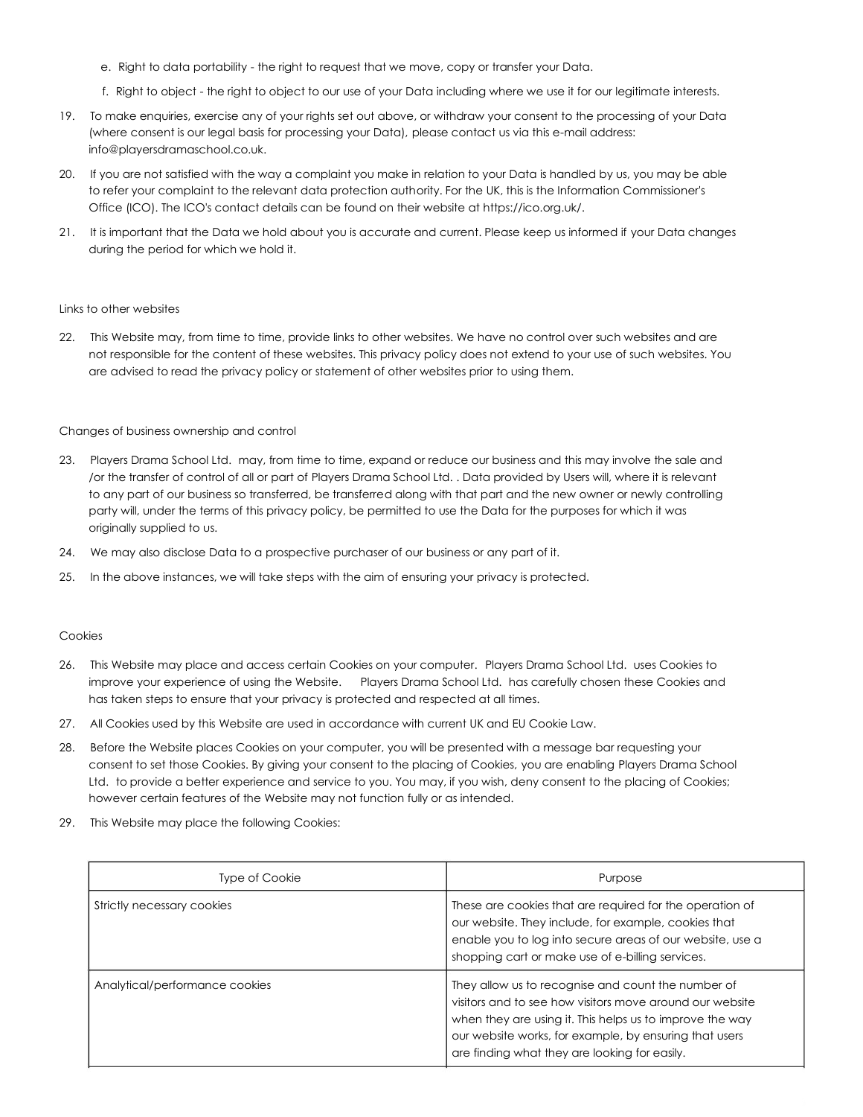- e. Right to data portability the right to request that we move, copy or transfer your Data.
- f. Right to object the right to object to our use of your Data including where we use it for our legitimate interests.
- 19. To make enquiries, exercise any of your rights set out above, or withdraw your consent to the processing of your Data (where consent is our legal basis for processing your Data), please contact us via this e-mail address: info@playersdramaschool.co.uk.
- 20. If you are not satisfied with the way a complaint you make in relation to your Data is handled by us, you may be able to refer your complaint to the relevant data protection authority. For the UK, this is the Information Commissioner's Office (ICO). The ICO's contact details can be found on their website at https://ico.org.uk/.
- 21. It is important that the Data we hold about you is accurate and current. Please keep us informed if your Data changes during the period for which we hold it.

#### Links to other websites

22. This Website may, from time to time, provide links to other websites. We have no control over such websites and are not responsible for the content of these websites. This privacy policy does not extend to your use of such websites. You are advised to read the privacy policy or statement of other websites prior to using them.

#### Changes of business ownership and control

- 23. Players Drama School Ltd. may, from time to time, expand or reduce our business and this may involve the sale and /or the transfer of control of all or part of Players Drama School Ltd. . Data provided by Users will, where it is relevant to any part of our business so transferred, be transferred along with that part and the new owner or newly controlling party will, under the terms of this privacy policy, be permitted to use the Data for the purposes for which it was originally supplied to us.
- 24. We may also disclose Data to a prospective purchaser of our business or any part of it.
- 25. In the above instances, we will take steps with the aim of ensuring your privacy is protected.

#### Cookies

- 26. This Website may place and access certain Cookies on your computer. Players Drama School Ltd. uses Cookies to improve your experience of using the Website. Players Drama School Ltd. has carefully chosen these Cookies and has taken steps to ensure that your privacy is protected and respected at all times.
- 27. All Cookies used by this Website are used in accordance with current UK and EU Cookie Law.
- 28. Before the Website places Cookies on your computer, you will be presented with a message bar requesting your consent to set those Cookies. By giving your consent to the placing of Cookies, you are enabling Players Drama School Ltd. to provide a better experience and service to you. You may, if you wish, deny consent to the placing of Cookies; however certain features of the Website may not function fully or as intended.
- 29. This Website may place the following Cookies:

| <b>Type of Cookie</b>          | Purpose                                                                                                                                                                                                                                                                               |
|--------------------------------|---------------------------------------------------------------------------------------------------------------------------------------------------------------------------------------------------------------------------------------------------------------------------------------|
| Strictly necessary cookies     | These are cookies that are required for the operation of<br>our website. They include, for example, cookies that<br>enable you to log into secure areas of our website, use a<br>shopping cart or make use of e-billing services.                                                     |
| Analytical/performance cookies | They allow us to recognise and count the number of<br>visitors and to see how visitors move around our website<br>when they are using it. This helps us to improve the way<br>our website works, for example, by ensuring that users<br>are finding what they are looking for easily. |